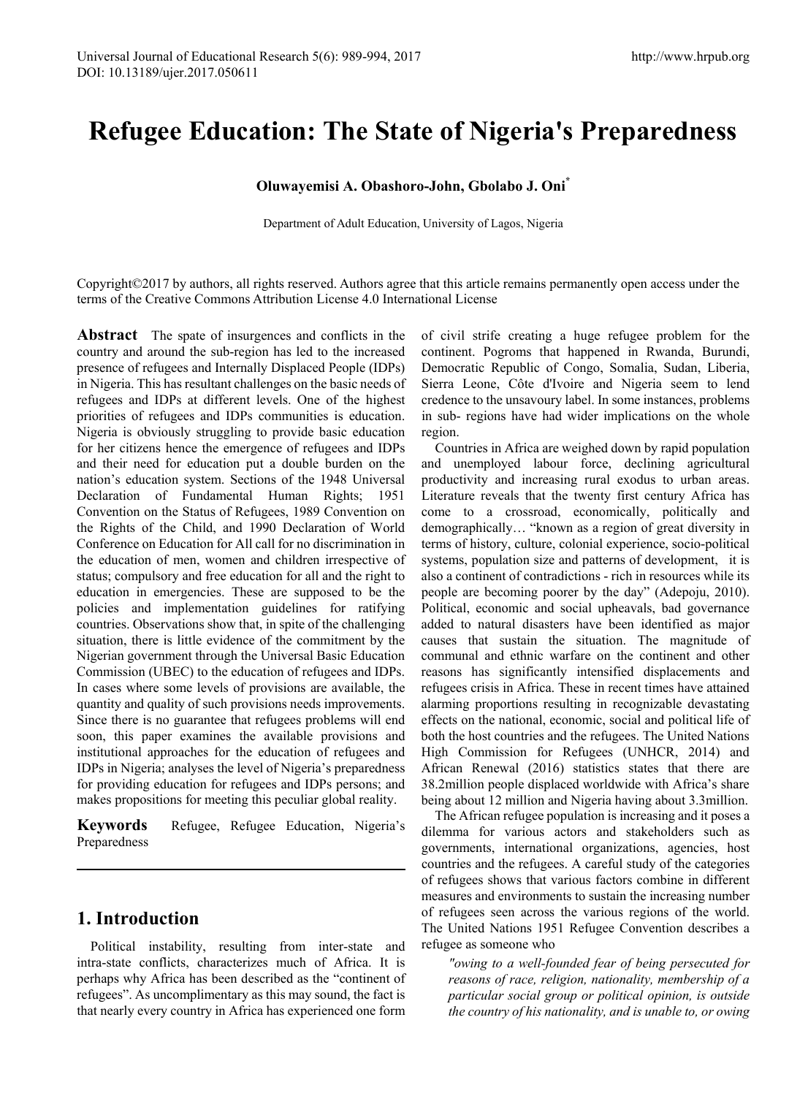# **Refugee Education: The State of Nigeria's Preparedness**

#### **Oluwayemisi A. Obashoro-John, Gbolabo J. Oni\***

Department of Adult Education, University of Lagos, Nigeria

Copyright©2017 by authors, all rights reserved. Authors agree that this article remains permanently open access under the terms of the Creative Commons Attribution License 4.0 International License

**Abstract** The spate of insurgences and conflicts in the country and around the sub-region has led to the increased presence of refugees and Internally Displaced People (IDPs) in Nigeria. This has resultant challenges on the basic needs of refugees and IDPs at different levels. One of the highest priorities of refugees and IDPs communities is education. Nigeria is obviously struggling to provide basic education for her citizens hence the emergence of refugees and IDPs and their need for education put a double burden on the nation's education system. Sections of the 1948 Universal Declaration of Fundamental Human Rights; 1951 Convention on the Status of Refugees, 1989 Convention on the Rights of the Child, and 1990 Declaration of World Conference on Education for All call for no discrimination in the education of men, women and children irrespective of status; compulsory and free education for all and the right to education in emergencies. These are supposed to be the policies and implementation guidelines for ratifying countries. Observations show that, in spite of the challenging situation, there is little evidence of the commitment by the Nigerian government through the Universal Basic Education Commission (UBEC) to the education of refugees and IDPs. In cases where some levels of provisions are available, the quantity and quality of such provisions needs improvements. Since there is no guarantee that refugees problems will end soon, this paper examines the available provisions and institutional approaches for the education of refugees and IDPs in Nigeria; analyses the level of Nigeria's preparedness for providing education for refugees and IDPs persons; and makes propositions for meeting this peculiar global reality.

**Keywords** Refugee, Refugee Education, Nigeria's Preparedness

## **1. Introduction**

Political instability, resulting from inter-state and intra-state conflicts, characterizes much of Africa. It is perhaps why Africa has been described as the "continent of refugees". As uncomplimentary as this may sound, the fact is that nearly every country in Africa has experienced one form of civil strife creating a huge refugee problem for the continent. Pogroms that happened in Rwanda, Burundi, Democratic Republic of Congo, Somalia, Sudan, Liberia, Sierra Leone, Côte d'Ivoire and Nigeria seem to lend credence to the unsavoury label. In some instances, problems in sub- regions have had wider implications on the whole region.

Countries in Africa are weighed down by rapid population and unemployed labour force, declining agricultural productivity and increasing rural exodus to urban areas. Literature reveals that the twenty first century Africa has come to a crossroad, economically, politically and demographically… "known as a region of great diversity in terms of history, culture, colonial experience, socio-political systems, population size and patterns of development, it is also a continent of contradictions - rich in resources while its people are becoming poorer by the day" (Adepoju, 2010). Political, economic and social upheavals, bad governance added to natural disasters have been identified as major causes that sustain the situation. The magnitude of communal and ethnic warfare on the continent and other reasons has significantly intensified displacements and refugees crisis in Africa. These in recent times have attained alarming proportions resulting in recognizable devastating effects on the national, economic, social and political life of both the host countries and the refugees. The United Nations High Commission for Refugees (UNHCR, 2014) and African Renewal (2016) statistics states that there are 38.2million people displaced worldwide with Africa's share being about 12 million and Nigeria having about 3.3million.

The African refugee population is increasing and it poses a dilemma for various actors and stakeholders such as governments, international organizations, agencies, host countries and the refugees. A careful study of the categories of refugees shows that various factors combine in different measures and environments to sustain the increasing number of refugees seen across the various regions of the world. The United Nations 1951 Refugee Convention describes a refugee as someone who

*"owing to a well-founded fear of being persecuted for reasons of race, religion, nationality, membership of a particular social group or political opinion, is outside the country of his nationality, and is unable to, or owing*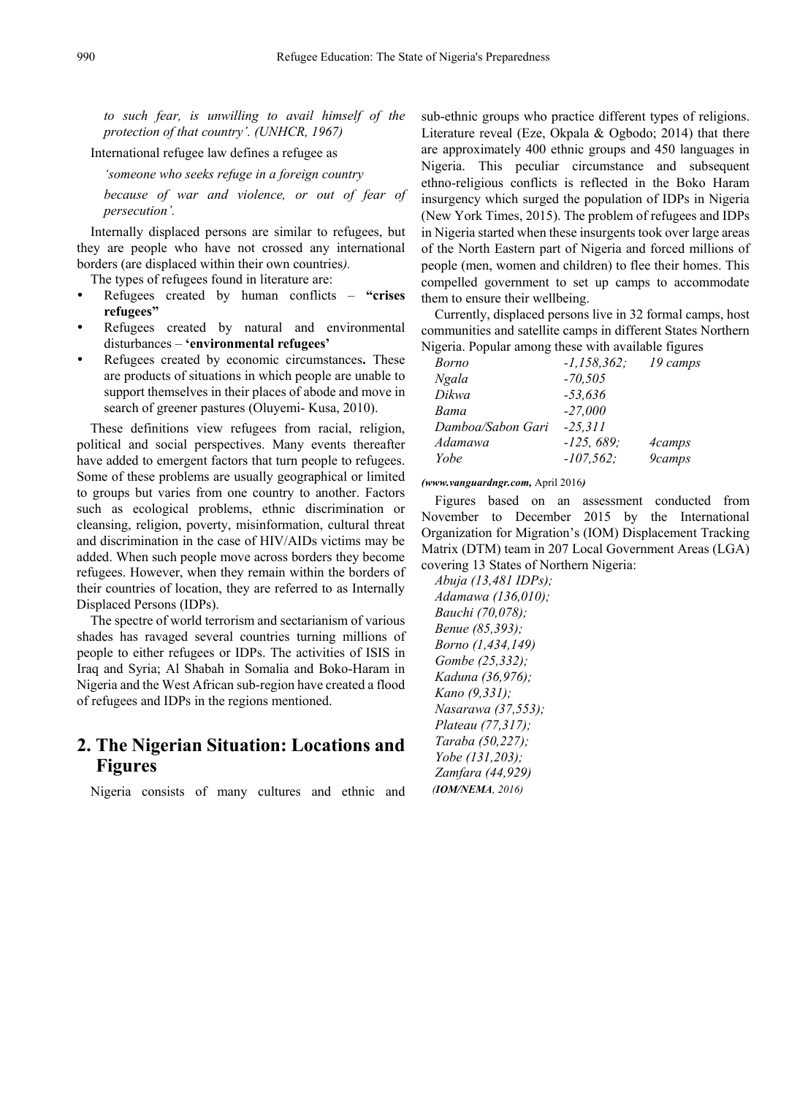*to such fear, is unwilling to avail himself of the protection of that country'. (UNHCR, 1967)*

International refugee law defines a refugee as

*'someone who seeks refuge in a foreign country*

*because of war and violence, or out of fear of persecution'.*

Internally displaced persons are similar to refugees, but they are people who have not crossed any international borders (are displaced within their own countries*).*

The types of refugees found in literature are:

- Refugees created by human conflicts **"crises refugees"**
- Refugees created by natural and environmental disturbances – **'environmental refugees'**
- Refugees created by economic circumstances**.** These are products of situations in which people are unable to support themselves in their places of abode and move in search of greener pastures (Oluyemi- Kusa, 2010).

These definitions view refugees from racial, religion, political and social perspectives. Many events thereafter have added to emergent factors that turn people to refugees. Some of these problems are usually geographical or limited to groups but varies from one country to another. Factors such as ecological problems, ethnic discrimination or cleansing, religion, poverty, misinformation, cultural threat and discrimination in the case of HIV/AIDs victims may be added. When such people move across borders they become refugees. However, when they remain within the borders of their countries of location, they are referred to as Internally Displaced Persons (IDPs).

The spectre of world terrorism and sectarianism of various shades has ravaged several countries turning millions of people to either refugees or IDPs. The activities of ISIS in Iraq and Syria; Al Shabah in Somalia and Boko-Haram in Nigeria and the West African sub-region have created a flood of refugees and IDPs in the regions mentioned.

## **2. The Nigerian Situation: Locations and Figures**

Nigeria consists of many cultures and ethnic and

sub-ethnic groups who practice different types of religions. Literature reveal (Eze, Okpala & Ogbodo; 2014) that there are approximately 400 ethnic groups and 450 languages in Nigeria. This peculiar circumstance and subsequent ethno-religious conflicts is reflected in the Boko Haram insurgency which surged the population of IDPs in Nigeria (New York Times, 2015). The problem of refugees and IDPs in Nigeria started when these insurgents took over large areas of the North Eastern part of Nigeria and forced millions of people (men, women and children) to flee their homes. This compelled government to set up camps to accommodate them to ensure their wellbeing.

Currently, displaced persons live in 32 formal camps, host communities and satellite camps in different States Northern Nigeria. Popular among these with available figures

| Borno             | $-1.158.362:$ | 19 camps      |
|-------------------|---------------|---------------|
| <b>Ngala</b>      | $-70,505$     |               |
| Dikwa             | $-53,636$     |               |
| Bama              | $-27,000$     |               |
| Damboa/Sabon Gari | $-25.311$     |               |
| Adamawa           | $-125, 689;$  | <i>Acamps</i> |
| Yobe              | $-107,562;$   | 9camps        |

*(www.vanguardngr.com,* April 2016*)*

Figures based on an assessment conducted from November to December 2015 by the International Organization for Migration's (IOM) Displacement Tracking Matrix (DTM) team in 207 Local Government Areas (LGA) covering 13 States of Northern Nigeria:

*Abuja (13,481 IDPs); Adamawa (136,010); Bauchi (70,078); Benue (85,393); Borno (1,434,149) Gombe (25,332); Kaduna (36,976); Kano (9,331); Nasarawa (37,553); Plateau (77,317); Taraba (50,227); Yobe (131,203); Zamfara (44,929) (IOM/NEMA, 2016)*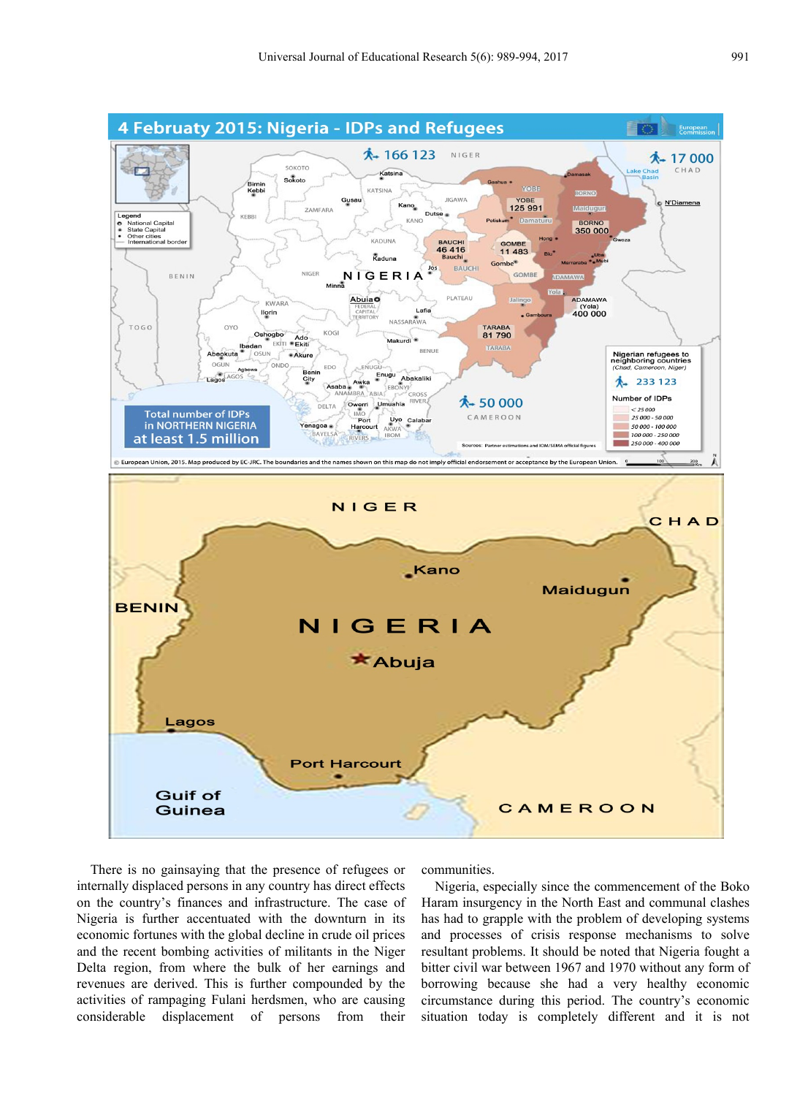

There is no gainsaying that the presence of refugees or internally displaced persons in any country has direct effects on the country's finances and infrastructure. The case of Nigeria is further accentuated with the downturn in its economic fortunes with the global decline in crude oil prices and the recent bombing activities of militants in the Niger Delta region, from where the bulk of her earnings and revenues are derived. This is further compounded by the activities of rampaging Fulani herdsmen, who are causing considerable displacement of persons from their

communities.

Nigeria, especially since the commencement of the Boko Haram insurgency in the North East and communal clashes has had to grapple with the problem of developing systems and processes of crisis response mechanisms to solve resultant problems. It should be noted that Nigeria fought a bitter civil war between 1967 and 1970 without any form of borrowing because she had a very healthy economic circumstance during this period. The country's economic situation today is completely different and it is not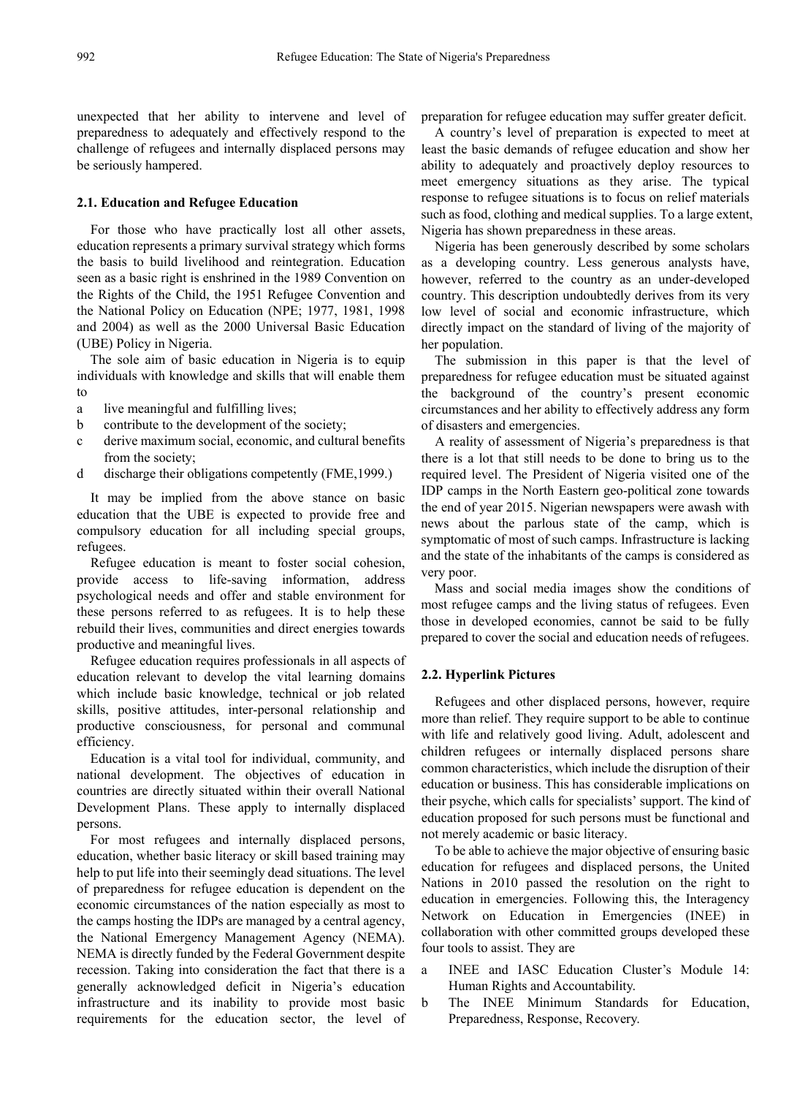unexpected that her ability to intervene and level of preparedness to adequately and effectively respond to the challenge of refugees and internally displaced persons may be seriously hampered.

#### **2.1. Education and Refugee Education**

For those who have practically lost all other assets, education represents a primary survival strategy which forms the basis to build livelihood and reintegration. Education seen as a basic right is enshrined in the 1989 Convention on the Rights of the Child, the 1951 Refugee Convention and the National Policy on Education (NPE; 1977, 1981, 1998 and 2004) as well as the 2000 Universal Basic Education (UBE) Policy in Nigeria.

The sole aim of basic education in Nigeria is to equip individuals with knowledge and skills that will enable them to

- a live meaningful and fulfilling lives;
- b contribute to the development of the society;
- c derive maximum social, economic, and cultural benefits from the society;
- d discharge their obligations competently (FME,1999.)

It may be implied from the above stance on basic education that the UBE is expected to provide free and compulsory education for all including special groups, refugees.

Refugee education is meant to foster social cohesion, provide access to life-saving information, address psychological needs and offer and stable environment for these persons referred to as refugees. It is to help these rebuild their lives, communities and direct energies towards productive and meaningful lives.

Refugee education requires professionals in all aspects of education relevant to develop the vital learning domains which include basic knowledge, technical or job related skills, positive attitudes, inter-personal relationship and productive consciousness, for personal and communal efficiency.

Education is a vital tool for individual, community, and national development. The objectives of education in countries are directly situated within their overall National Development Plans. These apply to internally displaced persons.

For most refugees and internally displaced persons, education, whether basic literacy or skill based training may help to put life into their seemingly dead situations. The level of preparedness for refugee education is dependent on the economic circumstances of the nation especially as most to the camps hosting the IDPs are managed by a central agency, the National Emergency Management Agency (NEMA). NEMA is directly funded by the Federal Government despite recession. Taking into consideration the fact that there is a generally acknowledged deficit in Nigeria's education infrastructure and its inability to provide most basic requirements for the education sector, the level of preparation for refugee education may suffer greater deficit.

A country's level of preparation is expected to meet at least the basic demands of refugee education and show her ability to adequately and proactively deploy resources to meet emergency situations as they arise. The typical response to refugee situations is to focus on relief materials such as food, clothing and medical supplies. To a large extent, Nigeria has shown preparedness in these areas.

Nigeria has been generously described by some scholars as a developing country. Less generous analysts have, however, referred to the country as an under-developed country. This description undoubtedly derives from its very low level of social and economic infrastructure, which directly impact on the standard of living of the majority of her population.

The submission in this paper is that the level of preparedness for refugee education must be situated against the background of the country's present economic circumstances and her ability to effectively address any form of disasters and emergencies.

A reality of assessment of Nigeria's preparedness is that there is a lot that still needs to be done to bring us to the required level. The President of Nigeria visited one of the IDP camps in the North Eastern geo-political zone towards the end of year 2015. Nigerian newspapers were awash with news about the parlous state of the camp, which is symptomatic of most of such camps. Infrastructure is lacking and the state of the inhabitants of the camps is considered as very poor.

Mass and social media images show the conditions of most refugee camps and the living status of refugees. Even those in developed economies, cannot be said to be fully prepared to cover the social and education needs of refugees.

#### **2.2. Hyperlink Pictures**

Refugees and other displaced persons, however, require more than relief. They require support to be able to continue with life and relatively good living. Adult, adolescent and children refugees or internally displaced persons share common characteristics, which include the disruption of their education or business. This has considerable implications on their psyche, which calls for specialists' support. The kind of education proposed for such persons must be functional and not merely academic or basic literacy.

To be able to achieve the major objective of ensuring basic education for refugees and displaced persons, the United Nations in 2010 passed the resolution on the right to education in emergencies. Following this, the Interagency Network on Education in Emergencies (INEE) in collaboration with other committed groups developed these four tools to assist. They are

- a INEE and IASC Education Cluster's Module 14: Human Rights and Accountability.
- b The INEE Minimum Standards for Education, Preparedness, Response, Recovery.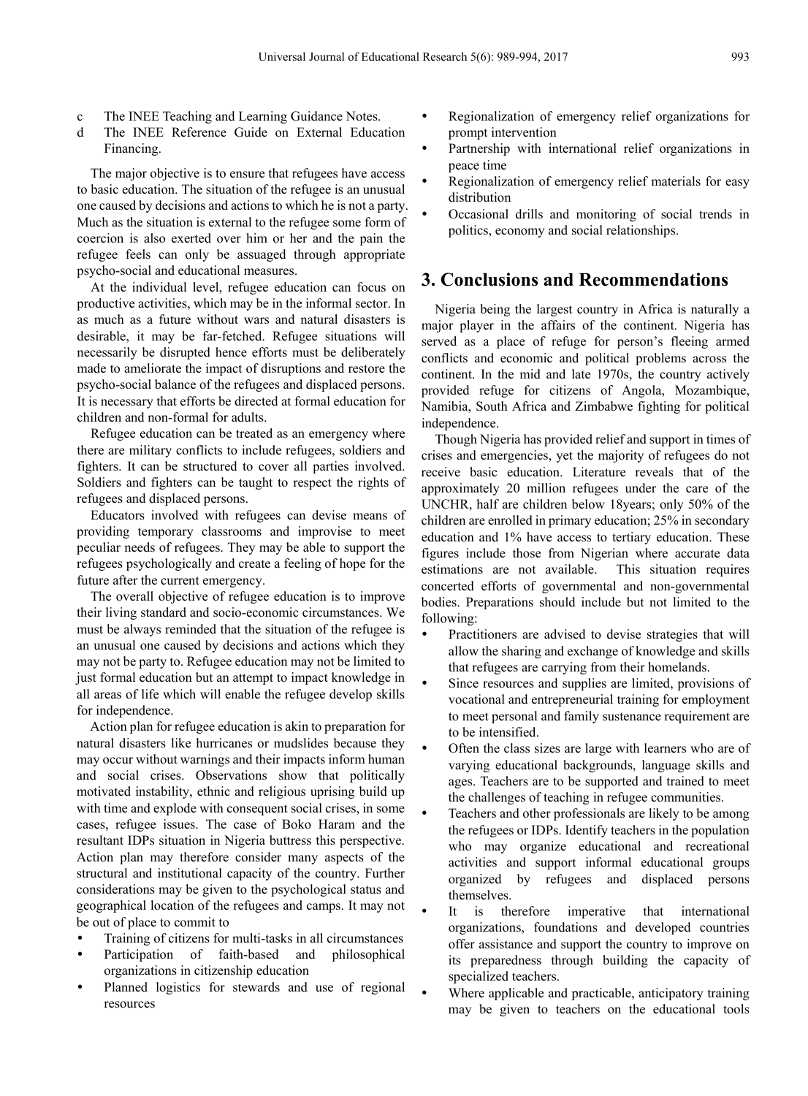- c The INEE Teaching and Learning Guidance Notes.
- d The INEE Reference Guide on External Education Financing.

The major objective is to ensure that refugees have access to basic education. The situation of the refugee is an unusual one caused by decisions and actions to which he is not a party. Much as the situation is external to the refugee some form of coercion is also exerted over him or her and the pain the refugee feels can only be assuaged through appropriate psycho-social and educational measures.

At the individual level, refugee education can focus on productive activities, which may be in the informal sector. In as much as a future without wars and natural disasters is desirable, it may be far-fetched. Refugee situations will necessarily be disrupted hence efforts must be deliberately made to ameliorate the impact of disruptions and restore the psycho-social balance of the refugees and displaced persons. It is necessary that efforts be directed at formal education for children and non-formal for adults.

Refugee education can be treated as an emergency where there are military conflicts to include refugees, soldiers and fighters. It can be structured to cover all parties involved. Soldiers and fighters can be taught to respect the rights of refugees and displaced persons.

Educators involved with refugees can devise means of providing temporary classrooms and improvise to meet peculiar needs of refugees. They may be able to support the refugees psychologically and create a feeling of hope for the future after the current emergency.

The overall objective of refugee education is to improve their living standard and socio-economic circumstances. We must be always reminded that the situation of the refugee is an unusual one caused by decisions and actions which they may not be party to. Refugee education may not be limited to just formal education but an attempt to impact knowledge in all areas of life which will enable the refugee develop skills for independence.

Action plan for refugee education is akin to preparation for natural disasters like hurricanes or mudslides because they may occur without warnings and their impacts inform human and social crises. Observations show that politically motivated instability, ethnic and religious uprising build up with time and explode with consequent social crises, in some cases, refugee issues. The case of Boko Haram and the resultant IDPs situation in Nigeria buttress this perspective. Action plan may therefore consider many aspects of the structural and institutional capacity of the country. Further considerations may be given to the psychological status and geographical location of the refugees and camps. It may not be out of place to commit to

- Training of citizens for multi-tasks in all circumstances
- Participation of faith-based and philosophical organizations in citizenship education
- Planned logistics for stewards and use of regional resources
- Regionalization of emergency relief organizations for prompt intervention
- Partnership with international relief organizations in peace time
- Regionalization of emergency relief materials for easy distribution
- Occasional drills and monitoring of social trends in politics, economy and social relationships.

# **3. Conclusions and Recommendations**

Nigeria being the largest country in Africa is naturally a major player in the affairs of the continent. Nigeria has served as a place of refuge for person's fleeing armed conflicts and economic and political problems across the continent. In the mid and late 1970s, the country actively provided refuge for citizens of Angola, Mozambique, Namibia, South Africa and Zimbabwe fighting for political independence.

Though Nigeria has provided relief and support in times of crises and emergencies, yet the majority of refugees do not receive basic education. Literature reveals that of the approximately 20 million refugees under the care of the UNCHR, half are children below 18years; only 50% of the children are enrolled in primary education; 25% in secondary education and 1% have access to tertiary education. These figures include those from Nigerian where accurate data estimations are not available. This situation requires concerted efforts of governmental and non-governmental bodies. Preparations should include but not limited to the following:

- Practitioners are advised to devise strategies that will allow the sharing and exchange of knowledge and skills that refugees are carrying from their homelands.
- Since resources and supplies are limited, provisions of vocational and entrepreneurial training for employment to meet personal and family sustenance requirement are to be intensified.
- Often the class sizes are large with learners who are of varying educational backgrounds, language skills and ages. Teachers are to be supported and trained to meet the challenges of teaching in refugee communities.
- Teachers and other professionals are likely to be among the refugees or IDPs. Identify teachers in the population who may organize educational and recreational activities and support informal educational groups organized by refugees and displaced persons themselves.
- It is therefore imperative that international organizations, foundations and developed countries offer assistance and support the country to improve on its preparedness through building the capacity of specialized teachers.
- Where applicable and practicable, anticipatory training may be given to teachers on the educational tools